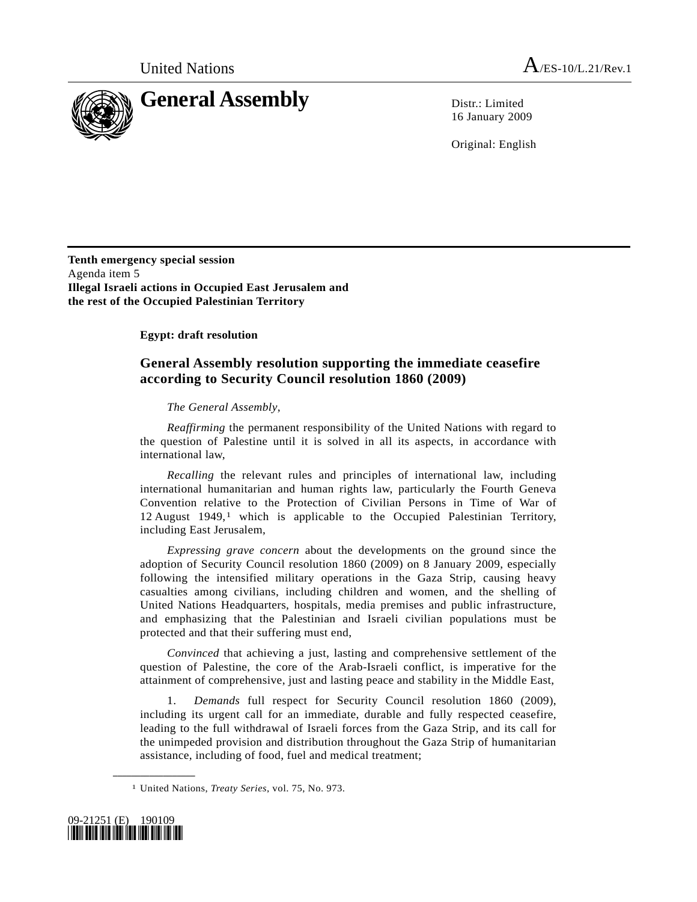

16 January 2009

Original: English

**Tenth emergency special session**  Agenda item 5 **Illegal Israeli actions in Occupied East Jerusalem and the rest of the Occupied Palestinian Territory** 

 **Egypt: draft resolution** 

## **General Assembly resolution supporting the immediate ceasefire according to Security Council resolution 1860 (2009)**

## *The General Assembly*,

*Reaffirming* the permanent responsibility of the United Nations with regard to the question of Palestine until it is solved in all its aspects, in accordance with international law,

*Recalling* the relevant rules and principles of international law, including international humanitarian and human rights law, particularly the Fourth Geneva Convention relative to the Protection of Civilian Persons in Time of War of 12 August  $1949$ ,<sup>1</sup> which is applicable to the Occupied Palestinian Territory, including East Jerusalem,

*Expressing grave concern* about the developments on the ground since the adoption of Security Council resolution 1860 (2009) on 8 January 2009, especially following the intensified military operations in the Gaza Strip, causing heavy casualties among civilians, including children and women, and the shelling of United Nations Headquarters, hospitals, media premises and public infrastructure, and emphasizing that the Palestinian and Israeli civilian populations must be protected and that their suffering must end,

*Convinced* that achieving a just, lasting and comprehensive settlement of the question of Palestine, the core of the Arab-Israeli conflict, is imperative for the attainment of comprehensive, just and lasting peace and stability in the Middle East,

 1. *Demands* full respect for Security Council resolution 1860 (2009), including its urgent call for an immediate, durable and fully respected ceasefire, leading to the full withdrawal of Israeli forces from the Gaza Strip, and its call for the unimpeded provision and distribution throughout the Gaza Strip of humanitarian assistance, including of food, fuel and medical treatment;

<span id="page-0-0"></span><sup>1</sup> United Nations, *Treaty Series*, vol. 75, No. 973.



**\_\_\_\_\_\_\_\_\_\_\_\_\_\_\_\_\_\_**